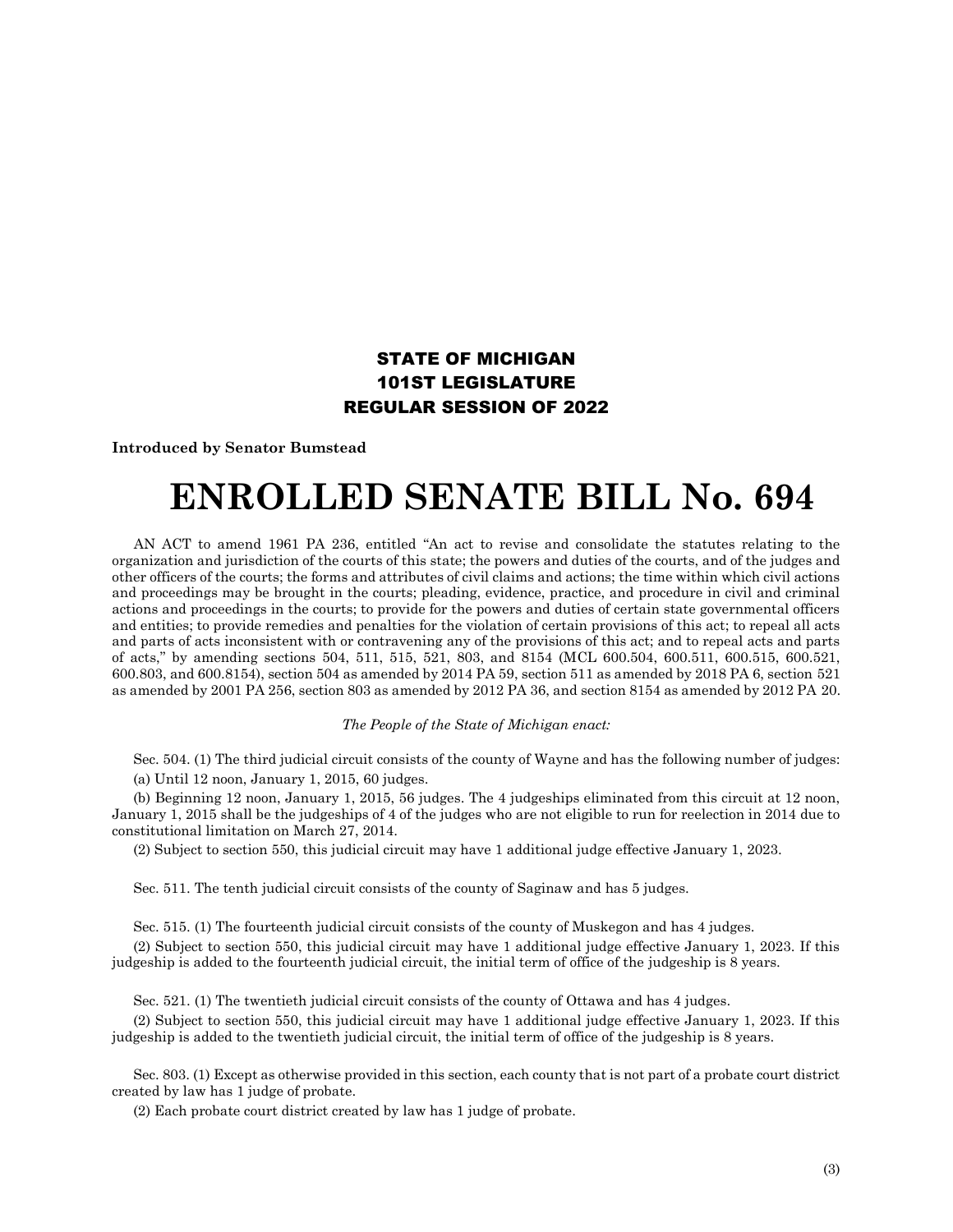## STATE OF MICHIGAN 101ST LEGISLATURE REGULAR SESSION OF 2022

**Introduced by Senator Bumstead**

## **ENROLLED SENATE BILL No. 694**

AN ACT to amend 1961 PA 236, entitled "An act to revise and consolidate the statutes relating to the organization and jurisdiction of the courts of this state; the powers and duties of the courts, and of the judges and other officers of the courts; the forms and attributes of civil claims and actions; the time within which civil actions and proceedings may be brought in the courts; pleading, evidence, practice, and procedure in civil and criminal actions and proceedings in the courts; to provide for the powers and duties of certain state governmental officers and entities; to provide remedies and penalties for the violation of certain provisions of this act; to repeal all acts and parts of acts inconsistent with or contravening any of the provisions of this act; and to repeal acts and parts of acts," by amending sections 504, 511, 515, 521, 803, and 8154 (MCL 600.504, 600.511, 600.515, 600.521, 600.803, and 600.8154), section 504 as amended by 2014 PA 59, section 511 as amended by 2018 PA 6, section 521 as amended by 2001 PA 256, section 803 as amended by 2012 PA 36, and section 8154 as amended by 2012 PA 20.

## *The People of the State of Michigan enact:*

Sec. 504. (1) The third judicial circuit consists of the county of Wayne and has the following number of judges: (a) Until 12 noon, January 1, 2015, 60 judges.

(b) Beginning 12 noon, January 1, 2015, 56 judges. The 4 judgeships eliminated from this circuit at 12 noon, January 1, 2015 shall be the judgeships of 4 of the judges who are not eligible to run for reelection in 2014 due to constitutional limitation on March 27, 2014.

(2) Subject to section 550, this judicial circuit may have 1 additional judge effective January 1, 2023.

Sec. 511. The tenth judicial circuit consists of the county of Saginaw and has 5 judges.

Sec. 515. (1) The fourteenth judicial circuit consists of the county of Muskegon and has 4 judges.

(2) Subject to section 550, this judicial circuit may have 1 additional judge effective January 1, 2023. If this judgeship is added to the fourteenth judicial circuit, the initial term of office of the judgeship is 8 years.

Sec. 521. (1) The twentieth judicial circuit consists of the county of Ottawa and has 4 judges.

(2) Subject to section 550, this judicial circuit may have 1 additional judge effective January 1, 2023. If this judgeship is added to the twentieth judicial circuit, the initial term of office of the judgeship is 8 years.

Sec. 803. (1) Except as otherwise provided in this section, each county that is not part of a probate court district created by law has 1 judge of probate.

(2) Each probate court district created by law has 1 judge of probate.